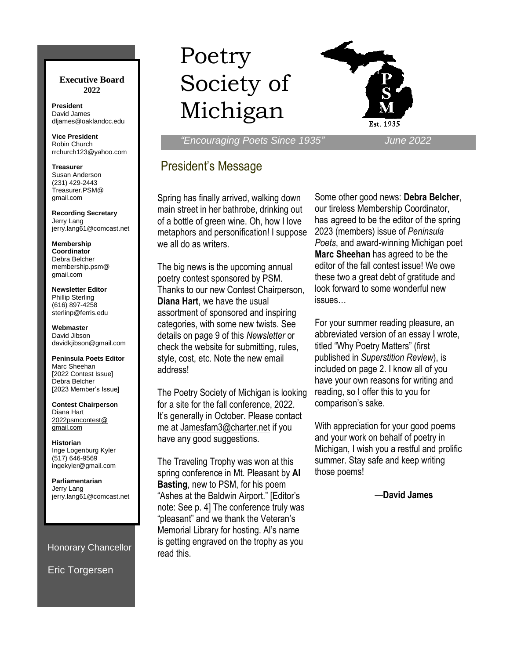#### **Executive Board 2022**

**President** David James dljames@oaklandcc.edu

**Vice President** Robin Church rrchurch123@yahoo.com

**Treasurer** Susan Anderson (231) 429-2443 Treasurer.PSM@ gmail.com

**Recording Secretary** Jerry Lang jerry.lang61@comcast.net

**Membership Coordinator** Debra Belcher membership.psm@ gmail.com

**Newsletter Editor** Phillip Sterling (616) 897-4258 sterlinp@ferris.edu

**Webmaster** David Jibson davidkjibson@gmail.com

**Peninsula Poets Editor** Marc Sheehan [2022 Contest Issue] Debra Belcher [2023 Member's Issue]

**Contest Chairperson** Diana Hart 2022psmcontest@ gmail.com

**Historian** Inge Logenburg Kyler (517) 646-9569 ingekyler@gmail.com

**Parliamentarian** Jerry Lang jerry.lang61@comcast.net

Honorary Chancellor

Eric Torgersen

# Poetry Society of Michigan



 *"Encouraging Poets Since 1935" June 2022*

## President's Message

Spring has finally arrived, walking down main street in her bathrobe, drinking out of a bottle of green wine. Oh, how I love metaphors and personification! I suppose we all do as writers.

The big news is the upcoming annual poetry contest sponsored by PSM. Thanks to our new Contest Chairperson, **Diana Hart**, we have the usual assortment of sponsored and inspiring categories, with some new twists. See details on page 9 of this *Newsletter* or check the website for submitting, rules, style, cost, etc. Note the new email address!

The Poetry Society of Michigan is looking for a site for the fall conference, 2022. It's generally in October. Please contact me at Jamesfam3@charter.net if you have any good suggestions.

The Traveling Trophy was won at this spring conference in Mt. Pleasant by **Al Basting**, new to PSM, for his poem "Ashes at the Baldwin Airport." [Editor's note: See p. 4] The conference truly was "pleasant" and we thank the Veteran's Memorial Library for hosting. Al's name is getting engraved on the trophy as you read this.

Some other good news: **Debra Belcher**, our tireless Membership Coordinator, has agreed to be the editor of the spring 2023 (members) issue of *Peninsula Poets*, and award-winning Michigan poet **Marc Sheehan** has agreed to be the editor of the fall contest issue! We owe these two a great debt of gratitude and look forward to some wonderful new issues…

For your summer reading pleasure, an abbreviated version of an essay I wrote, titled "Why Poetry Matters" (first published in *Superstition Review*), is included on page 2. I know all of you have your own reasons for writing and reading, so I offer this to you for comparison's sake.

With appreciation for your good poems and your work on behalf of poetry in Michigan, I wish you a restful and prolific summer. Stay safe and keep writing those poems!

—**David James**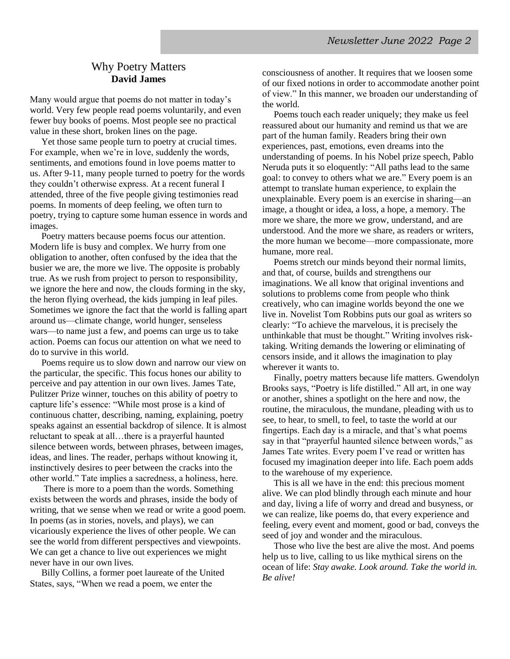#### Why Poetry Matters **David James**

Many would argue that poems do not matter in today's world. Very few people read poems voluntarily, and even fewer buy books of poems. Most people see no practical value in these short, broken lines on the page.

 Yet those same people turn to poetry at crucial times. For example, when we're in love, suddenly the words, sentiments, and emotions found in love poems matter to us. After 9-11, many people turned to poetry for the words they couldn't otherwise express. At a recent funeral I attended, three of the five people giving testimonies read poems. In moments of deep feeling, we often turn to poetry, trying to capture some human essence in words and images.

 Poetry matters because poems focus our attention. Modern life is busy and complex. We hurry from one obligation to another, often confused by the idea that the busier we are, the more we live. The opposite is probably true. As we rush from project to person to responsibility, we ignore the here and now, the clouds forming in the sky, the heron flying overhead, the kids jumping in leaf piles. Sometimes we ignore the fact that the world is falling apart around us—climate change, world hunger, senseless wars—to name just a few, and poems can urge us to take action. Poems can focus our attention on what we need to do to survive in this world.

 Poems require us to slow down and narrow our view on the particular, the specific. This focus hones our ability to perceive and pay attention in our own lives. James Tate, Pulitzer Prize winner, touches on this ability of poetry to capture life's essence: "While most prose is a kind of continuous chatter, describing, naming, explaining, poetry speaks against an essential backdrop of silence. It is almost reluctant to speak at all…there is a prayerful haunted silence between words, between phrases, between images, ideas, and lines. The reader, perhaps without knowing it, instinctively desires to peer between the cracks into the other world." Tate implies a sacredness, a holiness, here.

 There is more to a poem than the words. Something exists between the words and phrases, inside the body of writing, that we sense when we read or write a good poem. In poems (as in stories, novels, and plays), we can vicariously experience the lives of other people. We can see the world from different perspectives and viewpoints. We can get a chance to live out experiences we might never have in our own lives.

 Billy Collins, a former poet laureate of the United States, says, "When we read a poem, we enter the

consciousness of another. It requires that we loosen some of our fixed notions in order to accommodate another point of view." In this manner, we broaden our understanding of the world.

 Poems touch each reader uniquely; they make us feel reassured about our humanity and remind us that we are part of the human family. Readers bring their own experiences, past, emotions, even dreams into the understanding of poems. In his Nobel prize speech, Pablo Neruda puts it so eloquently: "All paths lead to the same goal: to convey to others what we are." Every poem is an attempt to translate human experience, to explain the unexplainable. Every poem is an exercise in sharing—an image, a thought or idea, a loss, a hope, a memory. The more we share, the more we grow, understand, and are understood. And the more we share, as readers or writers, the more human we become—more compassionate, more humane, more real.

 Poems stretch our minds beyond their normal limits, and that, of course, builds and strengthens our imaginations. We all know that original inventions and solutions to problems come from people who think creatively, who can imagine worlds beyond the one we live in. Novelist Tom Robbins puts our goal as writers so clearly: "To achieve the marvelous, it is precisely the unthinkable that must be thought." Writing involves risktaking. Writing demands the lowering or eliminating of censors inside, and it allows the imagination to play wherever it wants to.

 Finally, poetry matters because life matters. Gwendolyn Brooks says, "Poetry is life distilled." All art, in one way or another, shines a spotlight on the here and now, the routine, the miraculous, the mundane, pleading with us to see, to hear, to smell, to feel, to taste the world at our fingertips. Each day is a miracle, and that's what poems say in that "prayerful haunted silence between words," as James Tate writes. Every poem I've read or written has focused my imagination deeper into life. Each poem adds to the warehouse of my experience*.* 

 This is all we have in the end: this precious moment alive. We can plod blindly through each minute and hour and day, living a life of worry and dread and busyness, or we can realize, like poems do, that every experience and feeling, every event and moment, good or bad, conveys the seed of joy and wonder and the miraculous.

 Those who live the best are alive the most. And poems help us to live, calling to us like mythical sirens on the ocean of life: *Stay awake. Look around. Take the world in. Be alive!*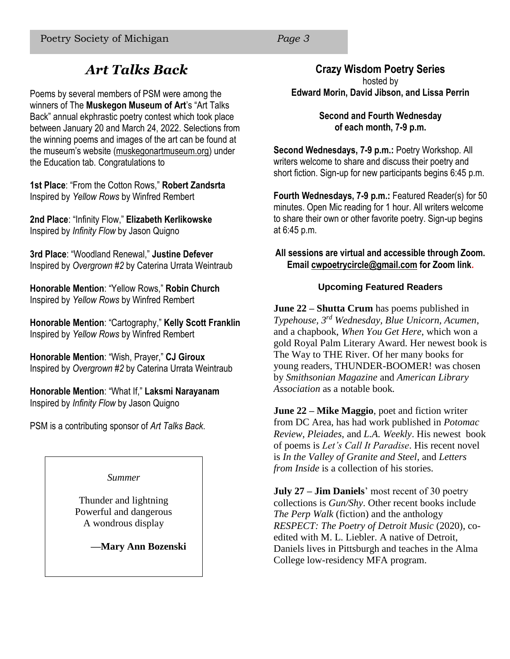## *Art Talks Back*

Poems by several members of PSM were among the winners of The **Muskegon Museum of Art**'s "Art Talks Back" annual ekphrastic poetry contest which took place between January 20 and March 24, 2022. Selections from the winning poems and images of the art can be found at the museum's website (muskegonartmuseum.org) under the Education tab. Congratulations to

**1st Place**: "From the Cotton Rows," **Robert Zandsrta** Inspired by *Yellow Rows* by Winfred Rembert

**2nd Place**: "Infinity Flow," **Elizabeth Kerlikowske** Inspired by *Infinity Flow* by Jason Quigno

**3rd Place**: "Woodland Renewal," **Justine Defever** Inspired by *Overgrown #2* by Caterina Urrata Weintraub

**Honorable Mention**: "Yellow Rows," **Robin Church** Inspired by *Yellow Rows* by Winfred Rembert

**Honorable Mention**: "Cartography," **Kelly Scott Franklin** Inspired by *Yellow Rows* by Winfred Rembert

**Honorable Mention**: "Wish, Prayer," **CJ Giroux** Inspired by *Overgrown #2* by Caterina Urrata Weintraub

**Honorable Mention**: "What If," **Laksmi Narayanam** Inspired by *Infinity Flow* by Jason Quigno

PSM is a contributing sponsor of *Art Talks Back*.

*Summer* 

Thunder and lightning Powerful and dangerous A wondrous display

**—Mary Ann Bozenski**

#### **Crazy Wisdom Poetry Series**

hosted by **Edward Morin, David Jibson, and Lissa Perrin** 

> **Second and Fourth Wednesday of each month, 7-9 p.m.**

**Second Wednesdays, 7-9 p.m.:** Poetry Workshop. All writers welcome to share and discuss their poetry and short fiction. Sign-up for new participants begins 6:45 p.m.

**Fourth Wednesdays, 7-9 p.m.:** Featured Reader(s) for 50 minutes. Open Mic reading for 1 hour. All writers welcome to share their own or other favorite poetry. Sign-up begins at 6:45 p.m.

#### **All sessions are virtual and accessible through Zoom. Email cwpoetrycircle@gmail.com for Zoom link.**

#### **Upcoming Featured Readers**

**June 22 – Shutta Crum** has poems published in *Typehouse, 3rd Wednesday, Blue Unicorn, Acumen*, and a chapbook, *When You Get Here*, which won a gold Royal Palm Literary Award. Her newest book is The Way to THE River. Of her many books for young readers, THUNDER-BOOMER! was chosen by *Smithsonian Magazine* and *American Library Association* as a notable book*.*

**June 22 – Mike Maggio**, poet and fiction writer from DC Area, has had work published in *Potomac Review*, *Pleiades*, and *L.A. Weekly*. His newest book of poems is *Let's Call It Paradise*. His recent novel is *In the Valley of Granite and Steel*, and *Letters from Inside* is a collection of his stories.

**July 27 – Jim Daniels**' most recent of 30 poetry collections is *Gun/Shy*. Other recent books include *The Perp Walk* (fiction) and the anthology *RESPECT: The Poetry of Detroit Music* (2020), coedited with M. L. Liebler. A native of Detroit, Daniels lives in Pittsburgh and teaches in the Alma College low-residency MFA program.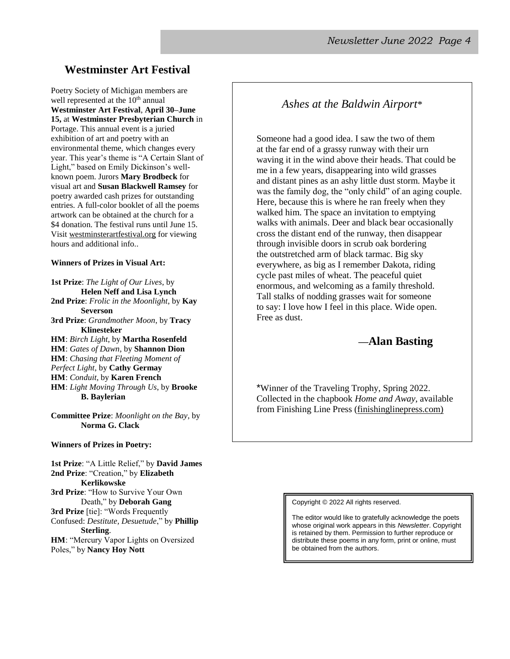#### **Westminster Art Festival**

Poetry Society of Michigan members are well represented at the 10<sup>th</sup> annual **Westminster Art Festival**, **April 30–June 15,** at **Westminster Presbyterian Church** in Portage. This annual event is a juried exhibition of art and poetry with an environmental theme, which changes every year. This year's theme is "A Certain Slant of Light," based on Emily Dickinson's wellknown poem. Jurors **Mary Brodbeck** for visual art and **Susan Blackwell Ramsey** for poetry awarded cash prizes for outstanding entries. A full-color booklet of all the poems artwork can be obtained at the church for a \$4 donation. The festival runs until June 15. Visit westminsterartfestival.org for viewing hours and additional info..

#### **Winners of Prizes in Visual Art:**

**1st Prize**: *The Light of Our Lives*, by **Helen Neff and Lisa Lynch 2nd Prize**: *Frolic in the Moonlight*, by **Kay Severson 3rd Prize**: *Grandmother Moon*, by **Tracy Klinesteker HM**: *Birch Light*, by **Martha Rosenfeld HM**: *Gates of Dawn*, by **Shannon Dion HM**: *Chasing that Fleeting Moment of Perfect Light*, by **Cathy Germay HM**: *Conduit*, by **Karen French HM**: *Light Moving Through Us*, by **Brooke** 

**B. Baylerian**

**Committee Prize**: *Moonlight on the Bay*, by **Norma G. Clack**

**Winners of Prizes in Poetry:**

**1st Prize**: "A Little Relief," by **David James 2nd Prize**: "Creation," by **Elizabeth Kerlikowske 3rd Prize**: "How to Survive Your Own Death," by **Deborah Gang 3rd Prize** [tie]: "Words Frequently Confused: *Destitute, Desuetude*," by **Phillip Sterling**. **HM**: "Mercury Vapor Lights on Oversized Poles," by **Nancy Hoy Nott**

*Ashes at the Baldwin Airport*\*

Someone had a good idea. I saw the two of them at the far end of a grassy runway with their urn waving it in the wind above their heads. That could be me in a few years, disappearing into wild grasses and distant pines as an ashy little dust storm. Maybe it was the family dog, the "only child" of an aging couple. Here, because this is where he ran freely when they walked him. The space an invitation to emptying walks with animals. Deer and black bear occasionally cross the distant end of the runway, then disappear through invisible doors in scrub oak bordering the outstretched arm of black tarmac. Big sky everywhere, as big as I remember Dakota, riding cycle past miles of wheat. The peaceful quiet enormous, and welcoming as a family threshold. Tall stalks of nodding grasses wait for someone to say: I love how I feel in this place. Wide open. Free as dust.

#### **—Alan Basting**

\*Winner of the Traveling Trophy, Spring 2022. Collected in the chapbook *Home and Away*, available from Finishing Line Press (finishinglinepress.com)

Copyright © 2022 All rights reserved.

The editor would like to gratefully acknowledge the poets whose original work appears in this *Newsletter*. Copyright is retained by them. Permission to further reproduce or distribute these poems in any form, print or online, must be obtained from the authors.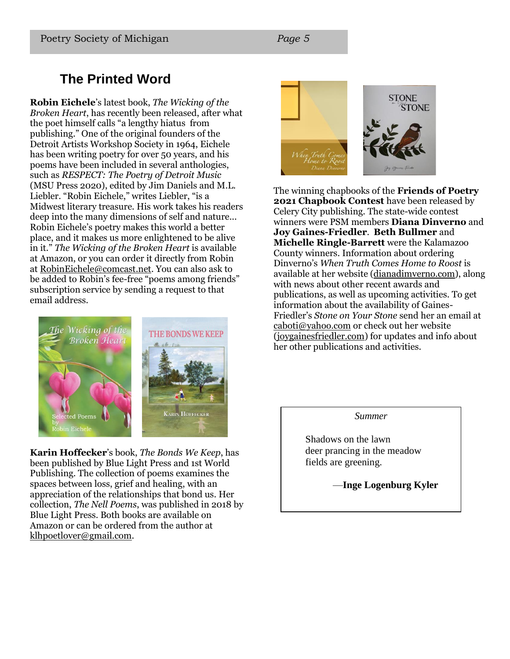## **The Printed Word**

**Robin Eichele**'s latest book, *The Wicking of the Broken Heart*, has recently been released, after what the poet himself calls "a lengthy hiatus from publishing." One of the original founders of the Detroit Artists Workshop Society in 1964, Eichele has been writing poetry for over 50 years, and his poems have been included in several anthologies, such as *RESPECT: The Poetry of Detroit Music* (MSU Press 2020), edited by Jim Daniels and M.L. Liebler. "Robin Eichele," writes Liebler, "is a Midwest literary treasure. His work takes his readers deep into the many dimensions of self and nature... Robin Eichele's poetry makes this world a better place, and it makes us more enlightened to be alive in it." *The Wicking of the Broken Heart* is available at Amazon, or you can order it directly from Robin at RobinEichele@comcast.net. You can also ask to be added to Robin's fee-free "poems among friends" subscription service by sending a request to that email address.



**Karin Hoffecker**'s book, *The Bonds We Keep*, has been published by Blue Light Press and 1st World Publishing. The collection of poems examines the spaces between loss, grief and healing, with an appreciation of the relationships that bond us. Her collection, *The Nell Poems*, was published in 2018 by Blue Light Press. Both books are available on Amazon or can be ordered from the author at klhpoetlover@gmail.com.



The winning chapbooks of the **Friends of Poetry 2021 Chapbook Contest** have been released by Celery City publishing. The state-wide contest winners were PSM members **Diana Dinverno** and **Joy Gaines-Friedler**. **Beth Bullmer** and **Michelle Ringle-Barrett** were the Kalamazoo County winners. Information about ordering Dinverno's *When Truth Comes Home to Roost* is available at her website (dianadimverno.com), along with news about other recent awards and publications, as well as upcoming activities. To get information about the availability of Gaines-Friedler's *Stone on Your Stone* send her an email at caboti@yahoo.com or check out her website (joygainesfriedler.com) for updates and info about her other publications and activities.

*Summer*

Shadows on the lawn deer prancing in the meadow fields are greening.

—**Inge Logenburg Kyler**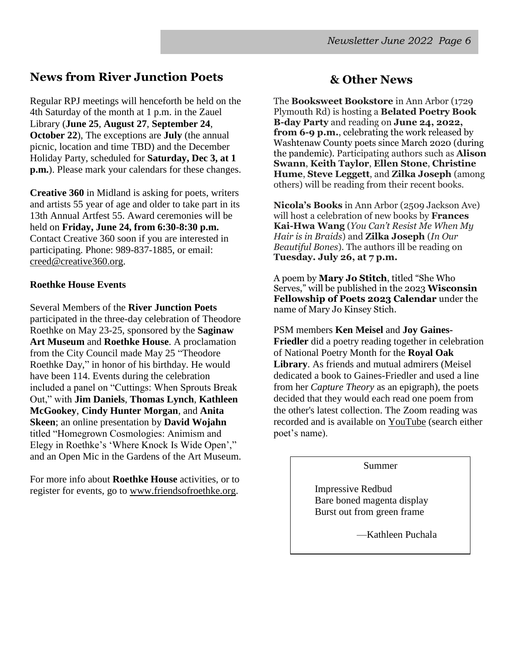## **News from River Junction Poets**

Regular RPJ meetings will henceforth be held on the 4th Saturday of the month at 1 p.m. in the Zauel Library (**June 25**, **August 27**, **September 24**, **October 22**), The exceptions are **July** (the annual picnic, location and time TBD) and the December Holiday Party, scheduled for **Saturday, Dec 3, at 1 p.m.**). Please mark your calendars for these changes.

**Creative 360** in Midland is asking for poets, writers and artists 55 year of age and older to take part in its 13th Annual Artfest 55. Award ceremonies will be held on **Friday, June 24, from 6:30-8:30 p.m.** Contact Creative 360 soon if you are interested in participating. Phone: 989-837-1885, or email: creed@creative360.org.

#### **Roethke House Events**

Several Members of the **River Junction Poets** participated in the three-day celebration of Theodore Roethke on May 23-25, sponsored by the **Saginaw Art Museum** and **Roethke House**. A proclamation from the City Council made May 25 "Theodore Roethke Day," in honor of his birthday. He would have been 114. Events during the celebration included a panel on "Cuttings: When Sprouts Break Out," with **Jim Daniels**, **Thomas Lynch**, **Kathleen McGookey**, **Cindy Hunter Morgan**, and **Anita Skeen**; an online presentation by **David Wojahn** titled "Homegrown Cosmologies: Animism and Elegy in Roethke's 'Where Knock Is Wide Open'," and an Open Mic in the Gardens of the Art Museum.

For more info about **Roethke House** activities, or to register for events, go to www.friendsofroethke.org.

### **& Other News**

The **Booksweet Bookstore** in Ann Arbor (1729 Plymouth Rd) is hosting a **Belated Poetry Book B-day Party** and reading on **June 24, 2022, from 6-9 p.m.**, celebrating the work released by Washtenaw County poets since March 2020 (during the pandemic). Participating authors such as **Alison Swann**, **Keith Taylor**, **Ellen Stone**, **Christine Hume**, **Steve Leggett**, and **Zilka Joseph** (among others) will be reading from their recent books.

**Nicola's Books** in Ann Arbor (2509 Jackson Ave) will host a celebration of new books by **Frances Kai-Hwa Wang** (*You Can't Resist Me When My Hair is in Braids*) and **Zilka Joseph** (*In Our Beautiful Bones*). The authors ill be reading on **Tuesday. July 26, at 7 p.m.**

A poem by **Mary Jo Stitch**, titled "She Who Serves," will be published in the 2023 **Wisconsin Fellowship of Poets 2023 Calendar** under the name of Mary Jo Kinsey Stich.

PSM members **Ken Meisel** and **Joy Gaines-Friedler** did a poetry reading together in celebration of National Poetry Month for the **Royal Oak Library**. As friends and mutual admirers (Meisel dedicated a book to Gaines-Friedler and used a line from her *Capture Theory* as an epigraph), the poets decided that they would each read one poem from the other's latest collection. The Zoom reading was recorded and is available on YouTube (search either poet's name).

#### Summer

Impressive Redbud Bare boned magenta display Burst out from green frame

—Kathleen Puchala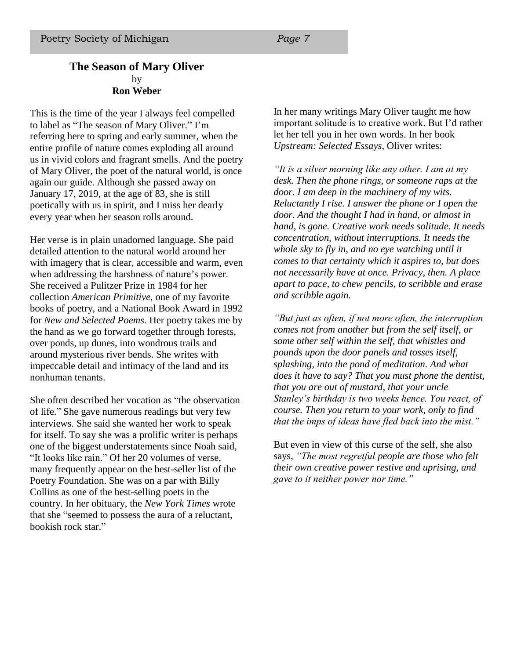#### **The Season of Mary Oliver** by **Ron Weber**

This is the time of the year I always feel compelled to label as "The season of Mary Oliver." I'm referring here to spring and early summer, when the entire profile of nature comes exploding all around us in vivid colors and fragrant smells. And the poetry of Mary Oliver, the poet of the natural world, is once again our guide. Although she passed away on January 17, 2019, at the age of 83, she is still poetically with us in spirit, and I miss her dearly every year when her season rolls around.

Her verse is in plain unadorned language. She paid detailed attention to the natural world around her with imagery that is clear, accessible and warm, even when addressing the harshness of nature's power. She received a Pulitzer Prize in 1984 for her collection *American Primitive*, one of my favorite books of poetry, and a National Book Award in 1992 for *New and Selected Poems*. Her poetry takes me by the hand as we go forward together through forests, over ponds, up dunes, into wondrous trails and around mysterious river bends. She writes with impeccable detail and intimacy of the land and its nonhuman tenants.

She often described her vocation as "the observation of life." She gave numerous readings but very few interviews. She said she wanted her work to speak for itself. To say she was a prolific writer is perhaps one of the biggest understatements since Noah said, "It looks like rain." Of her 20 volumes of verse, many frequently appear on the best-seller list of the Poetry Foundation. She was on a par with Billy Collins as one of the best-selling poets in the country. In her obituary, the *New York Times* wrote that she "seemed to possess the aura of a reluctant, bookish rock star."

In her many writings Mary Oliver taught me how important solitude is to creative work. But I'd rather let her tell you in her own words. In her book *Upstream: Selected Essays*, Oliver writes:

*"It is a silver morning like any other. I am at my desk. Then the phone rings, or someone raps at the door. I am deep in the machinery of my wits. Reluctantly I rise. I answer the phone or I open the door. And the thought I had in hand, or almost in hand, is gone. Creative work needs solitude. It needs concentration, without interruptions. It needs the whole sky to fly in, and no eye watching until it comes to that certainty which it aspires to, but does not necessarily have at once. Privacy, then. A place apart to pace, to chew pencils, to scribble and erase and scribble again.* 

*"But just as often, if not more often, the interruption comes not from another but from the self itself, or some other self within the self, that whistles and pounds upon the door panels and tosses itself, splashing, into the pond of meditation. And what does it have to say? That you must phone the dentist, that you are out of mustard, that your uncle Stanley's birthday is two weeks hence. You react, of course. Then you return to your work, only to find that the imps of ideas have fled back into the mist."*

But even in view of this curse of the self, she also says, *"The most regretful people are those who felt their own creative power restive and uprising, and gave to it neither power nor time."*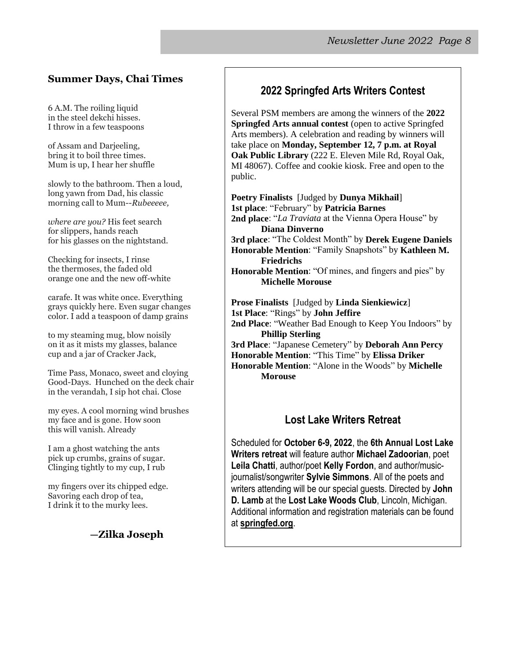#### **Summer Days, Chai Times**

6 A.M. The roiling liquid in the steel dekchi hisses. I throw in a few teaspoons

of Assam and Darjeeling, bring it to boil three times. Mum is up, I hear her shuffle

slowly to the bathroom. Then a loud, long yawn from Dad, his classic morning call to Mum--*Rubeeeee,*

*where are you?* His feet search for slippers, hands reach for his glasses on the nightstand.

Checking for insects, I rinse the thermoses, the faded old orange one and the new off-white

carafe. It was white once. Everything grays quickly here. Even sugar changes color. I add a teaspoon of damp grains

to my steaming mug, blow noisily on it as it mists my glasses, balance cup and a jar of Cracker Jack,

Time Pass, Monaco, sweet and cloying Good-Days. Hunched on the deck chair in the verandah, I sip hot chai. Close

my eyes. A cool morning wind brushes my face and is gone. How soon this will vanish. Already

I am a ghost watching the ants pick up crumbs, grains of sugar. Clinging tightly to my cup, I rub

my fingers over its chipped edge. Savoring each drop of tea, I drink it to the murky lees.

#### **—Zilka Joseph**

#### **2022 Springfed Arts Writers Contest**

Several PSM members are among the winners of the **2022 Springfed Arts annual contest** (open to active Springfed Arts members). A celebration and reading by winners will take place on **Monday, September 12, 7 p.m. at Royal Oak Public Library** (222 E. Eleven Mile Rd, Royal Oak, MI 48067). Coffee and cookie kiosk. Free and open to the public.

**Poetry Finalists** [Judged by **Dunya Mikhail**] **1st place**: "February" by **Patricia Barnes 2nd place**: "*La Traviata* at the Vienna Opera House" by **Diana Dinverno 3rd place**: "The Coldest Month" by **Derek Eugene Daniels Honorable Mention**: "Family Snapshots" by **Kathleen M. Friedrichs Honorable Mention**: "Of mines, and fingers and pies" by **Michelle Morouse Prose Finalists** [Judged by **Linda Sienkiewicz**] **1st Place**: "Rings" by **John Jeffire 2nd Place**: "Weather Bad Enough to Keep You Indoors" by

**Phillip Sterling**

**3rd Place**: "Japanese Cemetery" by **Deborah Ann Percy Honorable Mention**: "This Time" by **Elissa Driker**

**Honorable Mention**: "Alone in the Woods" by **Michelle Morouse**

#### **Lost Lake Writers Retreat**

Scheduled for **October 6-9, 2022**, the **6th Annual Lost Lake Writers retreat** will feature author **Michael Zadoorian**, poet **Leila Chatti**, author/poet **Kelly Fordon**, and author/musicjournalist/songwriter **Sylvie Simmons**. All of the poets and writers attending will be our special guests. Directed by **John D. Lamb** at the **Lost Lake Woods Club**, Lincoln, Michigan. Additional information and registration materials can be found at **springfed.org**.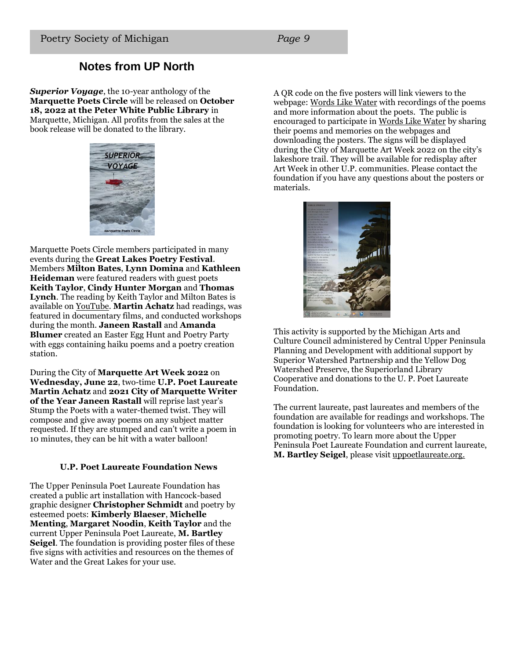### **Notes from UP North**

*Superior Voyage*, the 10-year anthology of the **Marquette Poets Circle** will be released on **October 18, 2022 at the Peter White Public Library** in Marquette, Michigan. All profits from the sales at the book release will be donated to the library.



Marquette Poets Circle members participated in many events during the **Great Lakes Poetry Festival**. Members **Milton Bates**, **Lynn Domina** and **Kathleen Heideman** were featured readers with guest poets **Keith Taylor**, **Cindy Hunter Morgan** and **Thomas Lynch**. The reading by Keith Taylor and Milton Bates is available on YouTube. **Martin Achatz** had readings, was featured in documentary films, and conducted workshops during the month. **Janeen Rastall** and **Amanda Blumer** created an Easter Egg Hunt and Poetry Party with eggs containing haiku poems and a poetry creation station.

During the City of **Marquette Art Week 2022** on **Wednesday, June 22**, two-time **U.P. Poet Laureate Martin Achatz** and **2021 City of Marquette Writer of the Year Janeen Rastall** will reprise last year's Stump the Poets with a water-themed twist. They will compose and give away poems on any subject matter requested. If they are stumped and can't write a poem in 10 minutes, they can be hit with a water balloon!

#### **U.P. Poet Laureate Foundation News**

The Upper Peninsula Poet Laureate Foundation has created a public art installation with Hancock-based graphic designer **Christopher Schmidt** and poetry by esteemed poets: **Kimberly Blaeser**, **Michelle Menting**, **Margaret Noodin**, **Keith Taylor** and the current Upper Peninsula Poet Laureate, **M. Bartley Seigel**. The foundation is providing poster files of these five signs with activities and resources on the themes of Water and the Great Lakes for your use.

A QR code on the five posters will link viewers to the webpage: Words Like Water with recordings of the poems and more information about the poets. The public is encouraged to participate in Words Like Water by sharing their poems and memories on the webpages and downloading the posters. The signs will be displayed during the City of Marquette Art Week 2022 on the city's lakeshore trail. They will be available for redisplay after Art Week in other U.P. communities. Please contact the foundation if you have any questions about the posters or materials.



This activity is supported by the Michigan Arts and Culture Council administered by Central Upper Peninsula Planning and Development with additional support by Superior Watershed Partnership and the Yellow Dog Watershed Preserve, the Superiorland Library Cooperative and donations to the U. P. Poet Laureate Foundation.

The current laureate, past laureates and members of the foundation are available for readings and workshops. The foundation is looking for volunteers who are interested in promoting poetry. To learn more about the Upper Peninsula Poet Laureate Foundation and current laureate, **M. Bartley Seigel**, please visit uppoetlaureate.org.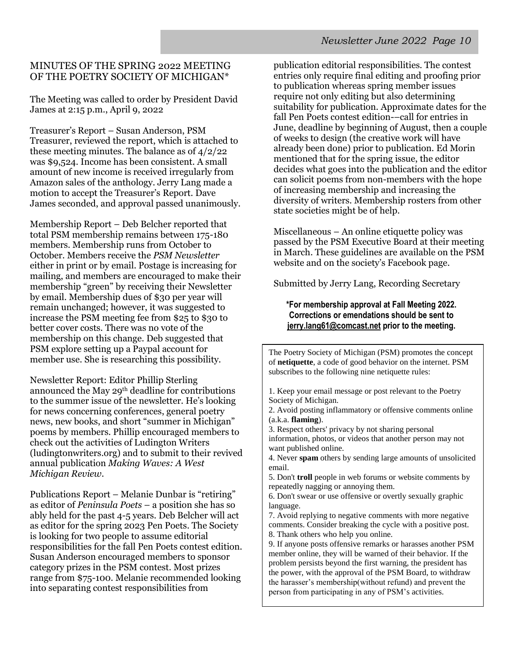#### MINUTES OF THE SPRING 2022 MEETING OF THE POETRY SOCIETY OF MICHIGAN\*

The Meeting was called to order by President David James at 2:15 p.m., April 9, 2022

Treasurer's Report – Susan Anderson, PSM Treasurer, reviewed the report, which is attached to these meeting minutes. The balance as of 4/2/22 was \$9,524. Income has been consistent. A small amount of new income is received irregularly from Amazon sales of the anthology. Jerry Lang made a motion to accept the Treasurer's Report. Dave James seconded, and approval passed unanimously.

Membership Report – Deb Belcher reported that total PSM membership remains between 175-180 members. Membership runs from October to October. Members receive the *PSM Newsletter* either in print or by email. Postage is increasing for mailing, and members are encouraged to make their membership "green" by receiving their Newsletter by email. Membership dues of \$30 per year will remain unchanged; however, it was suggested to increase the PSM meeting fee from \$25 to \$30 to better cover costs. There was no vote of the membership on this change. Deb suggested that PSM explore setting up a Paypal account for member use. She is researching this possibility.

Newsletter Report: Editor Phillip Sterling announced the May 29th deadline for contributions to the summer issue of the newsletter. He's looking for news concerning conferences, general poetry news, new books, and short "summer in Michigan" poems by members. Phillip encouraged members to check out the activities of Ludington Writers (ludingtonwriters.org) and to submit to their revived annual publication *Making Waves: A West Michigan Review*.

Publications Report – Melanie Dunbar is "retiring" as editor of *Peninsula Poets* – a position she has so ably held for the past 4-5 years. Deb Belcher will act as editor for the spring 2023 Pen Poets. The Society is looking for two people to assume editorial responsibilities for the fall Pen Poets contest edition. Susan Anderson encouraged members to sponsor category prizes in the PSM contest. Most prizes range from \$75-100. Melanie recommended looking into separating contest responsibilities from

publication editorial responsibilities. The contest entries only require final editing and proofing prior to publication whereas spring member issues require not only editing but also determining suitability for publication. Approximate dates for the fall Pen Poets contest edition-–call for entries in June, deadline by beginning of August, then a couple of weeks to design (the creative work will have already been done) prior to publication. Ed Morin mentioned that for the spring issue, the editor decides what goes into the publication and the editor can solicit poems from non-members with the hope of increasing membership and increasing the diversity of writers. Membership rosters from other state societies might be of help.

Miscellaneous – An online etiquette policy was passed by the PSM Executive Board at their meeting in March. These guidelines are available on the PSM website and on the society's Facebook page.

Submitted by Jerry Lang, Recording Secretary

#### **\*For membership approval at Fall Meeting 2022. Corrections or emendations should be sent to jerry.lang61@comcast.net prior to the meeting.**

The Poetry Society of Michigan (PSM) promotes the concept of **netiquette**, a code of good behavior on the internet. PSM subscribes to the following nine netiquette rules:

1. Keep your email message or post relevant to the Poetry Society of Michigan.

2. Avoid posting inflammatory or offensive comments online (a.k.a. **flaming**).

3. Respect others' privacy by not sharing personal information, photos, or videos that another person may not want published online.

4. Never **spam** others by sending large amounts of unsolicited email.

5. Don't **troll** people in web forums or website comments by repeatedly nagging or annoying them.

6. Don't swear or use offensive or overtly sexually graphic language.

7. Avoid replying to negative comments with more negative comments. Consider breaking the cycle with a positive post. 8. Thank others who help you online.

9. If anyone posts offensive remarks or harasses another PSM member online, they will be warned of their behavior. If the problem persists beyond the first warning, the president has the power, with the approval of the PSM Board, to withdraw the harasser's membership(without refund) and prevent the person from participating in any of PSM's activities.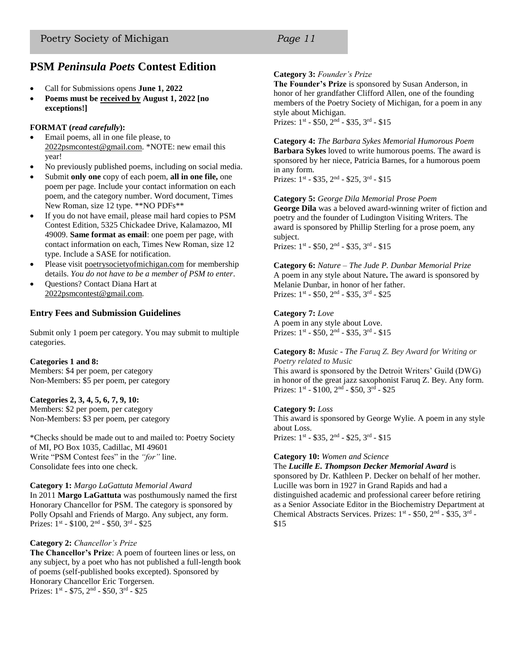#### **PSM** *Peninsula Poets* **Contest Edition**

- Call for Submissions opens **June 1, 2022**
- **Poems must be received by August 1, 2022 [no exceptions!]**

#### **FORMAT (***read carefully***):**

- Email poems, all in one file please, to 2022psmcontest@gmail.com. \*NOTE: new email this year!
- No previously published poems, including on social media.
- Submit **only one** copy of each poem, **all in one file,** one poem per page. Include your contact information on each poem, and the category number. Word document, Times New Roman, size 12 type. \*\*NO PDFs\*\*
- If you do not have email, please mail hard copies to PSM Contest Edition, 5325 Chickadee Drive, Kalamazoo, MI 49009. **Same format as email**: one poem per page, with contact information on each, Times New Roman, size 12 type. Include a SASE for notification.
- Please visit poetrysocietyofmichigan.com for membership details. *You do not have to be a member of PSM to enter*.
- Questions? Contact Diana Hart at 2022psmcontest@gmail.com.

#### **Entry Fees and Submission Guidelines**

Submit only 1 poem per category. You may submit to multiple categories.

#### **Categories 1 and 8:**

Members: \$4 per poem, per category Non-Members: \$5 per poem, per category

#### **Categories 2, 3, 4, 5, 6, 7, 9, 10:**

Members: \$2 per poem, per category Non-Members: \$3 per poem, per category

\*Checks should be made out to and mailed to: Poetry Society of MI, PO Box 1035, Cadillac, MI 49601 Write "PSM Contest fees" in the *"for"* line. Consolidate fees into one check.

#### **Category 1:** *Margo LaGattuta Memorial Award*

In 2011 **Margo LaGattuta** was posthumously named the first Honorary Chancellor for PSM. The category is sponsored by Polly Opsahl and Friends of Margo. Any subject, any form. Prizes: 1<sup>st</sup> - \$100, 2<sup>nd</sup> - \$50, 3<sup>rd</sup> - \$25

#### **Category 2:** *Chancellor's Prize*

**The Chancellor's Prize**: A poem of fourteen lines or less, on any subject, by a poet who has not published a full-length book of poems (self-published books excepted). Sponsored by Honorary Chancellor Eric Torgersen. Prizes: 1<sup>st</sup> - \$75, 2<sup>nd</sup> - \$50, 3<sup>rd</sup> - \$25

#### **Category 3:** *Founder's Prize*

**The Founder's Prize** is sponsored by Susan Anderson, in honor of her grandfather Clifford Allen, one of the founding members of the Poetry Society of Michigan, for a poem in any style about Michigan.

Prizes: 1<sup>st</sup> - \$50, 2<sup>nd</sup> - \$35, 3<sup>rd</sup> - \$15

**Category 4:** *The Barbara Sykes Memorial Humorous Poem* **Barbara Sykes** loved to write humorous poems. The award is sponsored by her niece, Patricia Barnes, for a humorous poem in any form.

Prizes: 1<sup>st</sup> - \$35, 2<sup>nd</sup> - \$25, 3<sup>rd</sup> - \$15

**Category 5:** *George Dila Memorial Prose Poem* **George Dila** was a beloved award-winning writer of fiction and poetry and the founder of Ludington Visiting Writers. The award is sponsored by Phillip Sterling for a prose poem, any subject. Prizes:  $1^{st}$  - \$50,  $2^{nd}$  - \$35,  $3^{rd}$  - \$15

**Category 6:** *Nature – The Jude P. Dunbar Memorial Prize* A poem in any style about Nature**.** The award is sponsored by Melanie Dunbar, in honor of her father. Prizes: 1<sup>st</sup> - \$50, 2<sup>nd</sup> - \$35, 3<sup>rd</sup> - \$25

#### **Category 7:** *Love*

A poem in any style about Love. Prizes: 1<sup>st</sup> - \$50, 2<sup>nd</sup> - \$35, 3<sup>rd</sup> - \$15

#### **Category 8:** *Music - The Faruq Z. Bey Award for Writing or Poetry related to Music*

This award is sponsored by the Detroit Writers' Guild (DWG) in honor of the great jazz saxophonist Faruq Z. Bey. Any form. Prizes: 1<sup>st</sup> - \$100, 2<sup>nd</sup> - \$50, 3<sup>rd</sup> - \$25

#### **Category 9:** *Loss*

This award is sponsored by George Wylie. A poem in any style about Loss. Prizes: 1<sup>st</sup> - \$35, 2<sup>nd</sup> - \$25, 3<sup>rd</sup> - \$15

#### **Category 10:** *Women and Science*

The *Lucille E. Thompson Decker Memorial Award* is sponsored by Dr. Kathleen P. Decker on behalf of her mother. Lucille was born in 1927 in Grand Rapids and had a distinguished academic and professional career before retiring as a Senior Associate Editor in the Biochemistry Department at Chemical Abstracts Services. Prizes: 1<sup>st</sup> - \$50, 2<sup>nd</sup> - \$35, 3<sup>rd</sup> -\$15